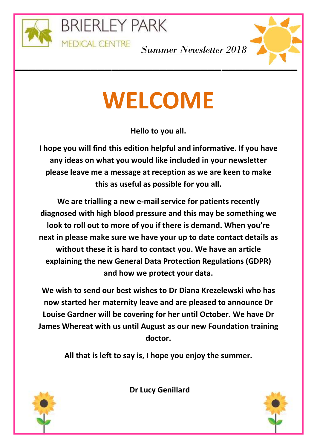

**\_\_\_**

**BRIERLEY PARK** 

**MEDICAL CENTRE** 



*Summer Newsletter 2018*

# **WELCOME**

**Hello to you all.**

**I hope you will find this edition helpful and informative. If you have any ideas on what you would like included in your newsletter please leave me a message at reception as we are keen to make this as useful as possible for you all.**

**We are trialling a new e-mail service for patients recently diagnosed with high blood pressure and this may be something we look to roll out to more of you if there is demand. When you're next in please make sure we have your up to date contact details as without these it is hard to contact you. We have an article explaining the new General Data Protection Regulations (GDPR) and how we protect your data.**

**We wish to send our best wishes to Dr Diana Krezelewski who has now started her maternity leave and are pleased to announce Dr Louise Gardner will be covering for her until October. We have Dr James Whereat with us until August as our new Foundation training doctor.**

**All that is left to say is, I hope you enjoy the summer.**



**Dr Lucy Genillard**

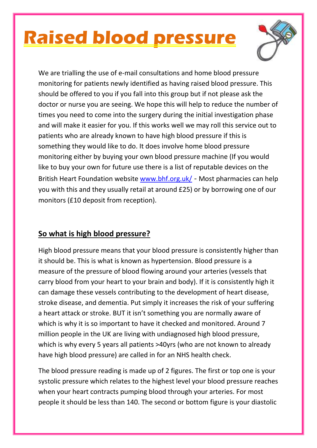### **Raised blood pressure**



We are trialling the use of e-mail consultations and home blood pressure monitoring for patients newly identified as having raised blood pressure. This should be offered to you if you fall into this group but if not please ask the doctor or nurse you are seeing. We hope this will help to reduce the number of times you need to come into the surgery during the initial investigation phase and will make it easier for you. If this works well we may roll this service out to patients who are already known to have high blood pressure if this is something they would like to do. It does involve home blood pressure monitoring either by buying your own blood pressure machine (If you would like to buy your own for future use there is a list of reputable devices on the British Heart Foundation website [www.bhf.org.uk/](http://www.bhf.org.uk/) - Most pharmacies can help you with this and they usually retail at around £25) or by borrowing one of our monitors (£10 deposit from reception).

#### **So what is high blood pressure?**

High blood pressure means that your blood pressure is consistently higher than it should be. This is what is known as hypertension. Blood pressure is a measure of the pressure of blood flowing around your arteries (vessels that carry blood from your heart to your brain and body). If it is consistently high it can damage these vessels contributing to the development of heart disease, stroke disease, and dementia. Put simply it increases the risk of your suffering a heart attack or stroke. BUT it isn't something you are normally aware of which is why it is so important to have it checked and monitored. Around 7 million people in the UK are living with undiagnosed high blood pressure, which is why every 5 years all patients >40yrs (who are not known to already have high blood pressure) are called in for an NHS health check.

The blood pressure reading is made up of 2 figures. The first or top one is your systolic pressure which relates to the highest level your blood pressure reaches when your heart contracts pumping blood through your arteries. For most people it should be less than 140. The second or bottom figure is your diastolic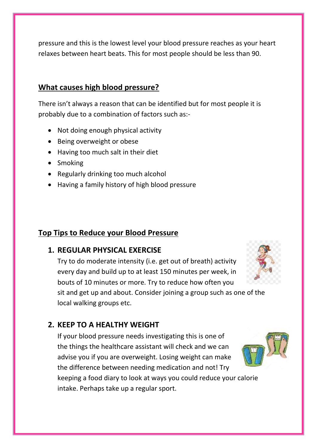pressure and this is the lowest level your blood pressure reaches as your heart relaxes between heart beats. This for most people should be less than 90.

#### **What causes high blood pressure?**

There isn't always a reason that can be identified but for most people it is probably due to a combination of factors such as:-

- Not doing enough physical activity
- Being overweight or obese
- Having too much salt in their diet
- Smoking
- Regularly drinking too much alcohol
- Having a family history of high blood pressure

#### **Top Tips to Reduce your Blood Pressure**

#### **1. REGULAR PHYSICAL EXERCISE**

Try to do moderate intensity (i.e. get out of breath) activity every day and build up to at least 150 minutes per week, in bouts of 10 minutes or more. Try to reduce how often you

sit and get up and about. Consider joining a group such as one of the local walking groups etc.

#### **2. KEEP TO A HEALTHY WEIGHT**

If your blood pressure needs investigating this is one of the things the healthcare assistant will check and we can advise you if you are overweight. Losing weight can make the difference between needing medication and not! Try

keeping a food diary to look at ways you could reduce your calorie intake. Perhaps take up a regular sport.



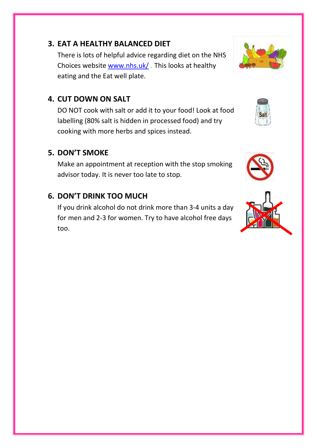#### **3. EAT A HEALTHY BALANCED DIET**

There is lots of helpful advice regarding diet on the NHS Choices website [www.nhs.uk/](http://www.nhs.uk/) . This looks at healthy eating and the Eat well plate.

#### **4. CUT DOWN ON SALT**

DO NOT cook with salt or add it to your food! Look at food labelling (80% salt is hidden in processed food) and try cooking with more herbs and spices instead.

#### **5. DON'T SMOKE**

Make an appointment at reception with the stop smoking advisor today. It is never too late to stop.

#### **6. DON'T DRINK TOO MUCH**

If you drink alcohol do not drink more than 3-4 units a day for men and 2-3 for women. Try to have alcohol free days too.







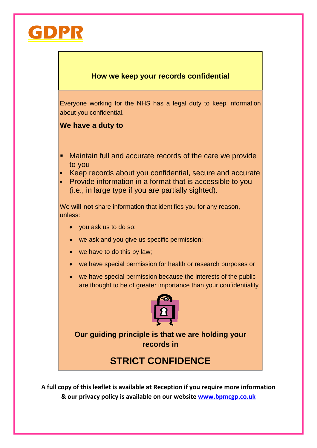

#### **How we keep your records confidential**

Everyone working for the NHS has a legal duty to keep information about you confidential.

#### **We have a duty to**

- Maintain full and accurate records of the care we provide to you
- Keep records about you confidential, secure and accurate
- Provide information in a format that is accessible to you (i.e., in large type if you are partially sighted).

We **will not** share information that identifies you for any reason, unless:

- you ask us to do so;
- we ask and you give us specific permission;
- we have to do this by law;
- we have special permission for health or research purposes or
- we have special permission because the interests of the public are thought to be of greater importance than your confidentiality



**Our guiding principle is that we are holding your records in**

### **STRICT CONFIDENCE**

**A full copy of this leaflet is available at Reception if you require more information & our privacy policy is available on our website [www.bpmcgp.co.uk](http://www.bpmcgp.co.uk/)**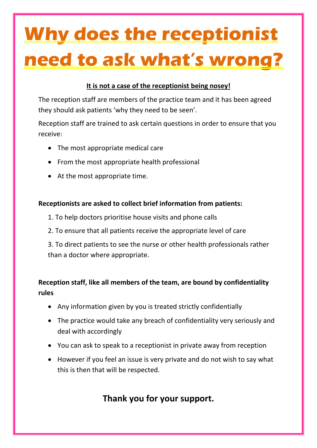## **Why does the receptionist need to ask what's wrong?**

#### **It is not a case of the receptionist being nosey!**

The reception staff are members of the practice team and it has been agreed they should ask patients 'why they need to be seen'.

Reception staff are trained to ask certain questions in order to ensure that you receive:

- The most appropriate medical care
- From the most appropriate health professional
- At the most appropriate time.

#### **Receptionists are asked to collect brief information from patients:**

- 1. To help doctors prioritise house visits and phone calls
- 2. To ensure that all patients receive the appropriate level of care

3. To direct patients to see the nurse or other health professionals rather than a doctor where appropriate.

#### **Reception staff, like all members of the team, are bound by confidentiality rules**

- Any information given by you is treated strictly confidentially
- The practice would take any breach of confidentiality very seriously and deal with accordingly
- You can ask to speak to a receptionist in private away from reception
- However if you feel an issue is very private and do not wish to say what this is then that will be respected.

### **Thank you for your support.**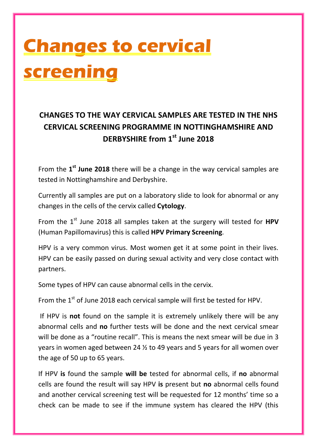## **Changes to cervical screening**

### **CHANGES TO THE WAY CERVICAL SAMPLES ARE TESTED IN THE NHS CERVICAL SCREENING PROGRAMME IN NOTTINGHAMSHIRE AND DERBYSHIRE from 1st June 2018**

From the 1<sup>st</sup> June 2018 there will be a change in the way cervical samples are tested in Nottinghamshire and Derbyshire.

Currently all samples are put on a laboratory slide to look for abnormal or any changes in the cells of the cervix called **Cytology**.

From the 1<sup>st</sup> June 2018 all samples taken at the surgery will tested for HPV (Human Papillomavirus) this is called **HPV Primary Screening**.

HPV is a very common virus. Most women get it at some point in their lives. HPV can be easily passed on during sexual activity and very close contact with partners.

Some types of HPV can cause abnormal cells in the cervix.

From the 1<sup>st</sup> of June 2018 each cervical sample will first be tested for HPV.

If HPV is **not** found on the sample it is extremely unlikely there will be any abnormal cells and **no** further tests will be done and the next cervical smear will be done as a "routine recall". This is means the next smear will be due in 3 years in women aged between 24 ½ to 49 years and 5 years for all women over the age of 50 up to 65 years.

If HPV **is** found the sample **will be** tested for abnormal cells, if **no** abnormal cells are found the result will say HPV **is** present but **no** abnormal cells found and another cervical screening test will be requested for 12 months' time so a check can be made to see if the immune system has cleared the HPV (this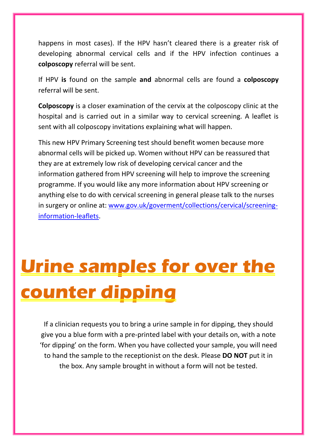happens in most cases). If the HPV hasn't cleared there is a greater risk of developing abnormal cervical cells and if the HPV infection continues a **colposcopy** referral will be sent.

If HPV **is** found on the sample **and** abnormal cells are found a **colposcopy** referral will be sent.

**Colposcopy** is a closer examination of the cervix at the colposcopy clinic at the hospital and is carried out in a similar way to cervical screening. A leaflet is sent with all colposcopy invitations explaining what will happen.

This new HPV Primary Screening test should benefit women because more abnormal cells will be picked up. Women without HPV can be reassured that they are at extremely low risk of developing cervical cancer and the information gathered from HPV screening will help to improve the screening programme. If you would like any more information about HPV screening or anything else to do with cervical screening in general please talk to the nurses in surgery or online at: [www.gov.uk/goverment/collections/cervical/screening](http://www.gov.uk/goverment/collections/cervical/screening-information-leaflets)[information-leaflets.](http://www.gov.uk/goverment/collections/cervical/screening-information-leaflets)

## **Urine samples for over the counter dipping**

If a clinician requests you to bring a urine sample in for dipping, they should give you a blue form with a pre-printed label with your details on, with a note 'for dipping' on the form. When you have collected your sample, you will need to hand the sample to the receptionist on the desk. Please **DO NOT** put it in the box. Any sample brought in without a form will not be tested.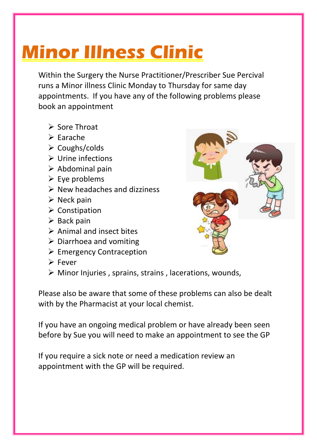### **Minor Illness Clinic**

Within the Surgery the Nurse Practitioner/Prescriber Sue Percival runs a Minor illness Clinic Monday to Thursday for same day appointments. If you have any of the following problems please book an appointment

- $\triangleright$  Sore Throat
- $\triangleright$  Earache
- $\triangleright$  Coughs/colds
- $\triangleright$  Urine infections
- $\triangleright$  Abdominal pain
- $\triangleright$  Eye problems
- $\triangleright$  New headaches and dizziness
- $\triangleright$  Neck pain
- $\triangleright$  Constipation
- $\triangleright$  Back pain
- $\triangleright$  Animal and insect bites
- $\triangleright$  Diarrhoea and vomiting
- $\triangleright$  Emergency Contraception
- Fever
- Minor Injuries , sprains, strains , lacerations, wounds,

Please also be aware that some of these problems can also be dealt with by the Pharmacist at your local chemist.

If you have an ongoing medical problem or have already been seen before by Sue you will need to make an appointment to see the GP

If you require a sick note or need a medication review an appointment with the GP will be required.

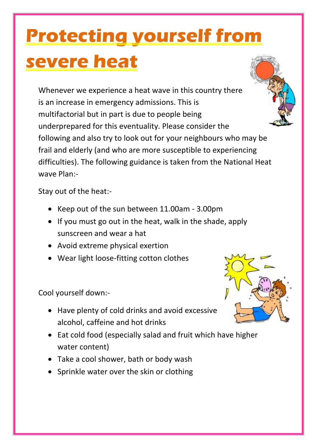## **Protecting yourself from severe heat**

Whenever we experience a heat wave in this country there is an increase in emergency admissions. This is multifactorial but in part is due to people being underprepared for this eventuality. Please consider the following and also try to look out for your neighbours who may be frail and elderly (and who are more susceptible to experiencing difficulties). The following guidance is taken from the National Heat wave Plan:-

Stay out of the heat:-

- Keep out of the sun between 11.00am 3.00pm
- If you must go out in the heat, walk in the shade, apply sunscreen and wear a hat
- Avoid extreme physical exertion
- Wear light loose-fitting cotton clothes

Cool yourself down:-

- Have plenty of cold drinks and avoid excessive alcohol, caffeine and hot drinks
- Eat cold food (especially salad and fruit which have higher water content)
- Take a cool shower, bath or body wash
- Sprinkle water over the skin or clothing



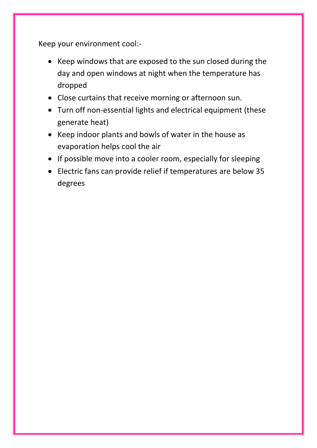Keep your environment cool:-

- Keep windows that are exposed to the sun closed during the day and open windows at night when the temperature has dropped
- Close curtains that receive morning or afternoon sun.
- Turn off non-essential lights and electrical equipment (these generate heat)
- Keep indoor plants and bowls of water in the house as evaporation helps cool the air
- If possible move into a cooler room, especially for sleeping
- Electric fans can provide relief if temperatures are below 35 degrees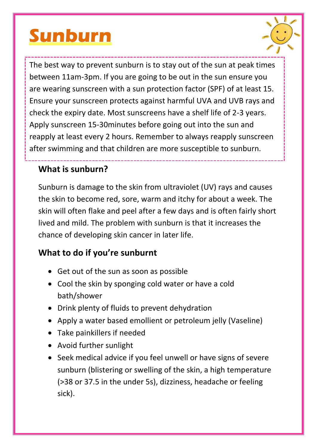### **Sunburn**



The best way to prevent sunburn is to stay out of the sun at peak times between 11am-3pm. If you are going to be out in the sun ensure you are wearing sunscreen with a sun protection factor (SPF) of at least 15. Ensure your sunscreen protects against harmful UVA and UVB rays and check the expiry date. Most sunscreens have a shelf life of 2-3 years. Apply sunscreen 15-30minutes before going out into the sun and reapply at least every 2 hours. Remember to always reapply sunscreen after swimming and that children are more susceptible to sunburn.

### **What is sunburn?**

Sunburn is damage to the skin from ultraviolet (UV) rays and causes the skin to become red, sore, warm and itchy for about a week. The skin will often flake and peel after a few days and is often fairly short lived and mild. The problem with sunburn is that it increases the chance of developing skin cancer in later life.

### **What to do if you're sunburnt**

- Get out of the sun as soon as possible
- Cool the skin by sponging cold water or have a cold bath/shower
- Drink plenty of fluids to prevent dehydration
- Apply a water based emollient or petroleum jelly (Vaseline)
- Take painkillers if needed
- Avoid further sunlight
- Seek medical advice if you feel unwell or have signs of severe sunburn (blistering or swelling of the skin, a high temperature (>38 or 37.5 in the under 5s), dizziness, headache or feeling sick).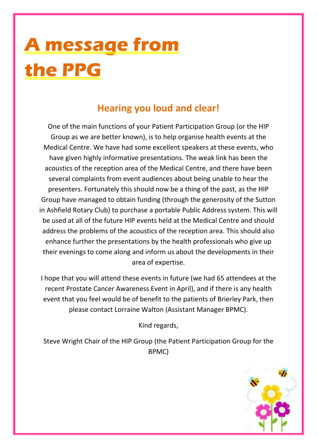## **A message from the PPG**

### **Hearing you loud and clear!**

One of the main functions of your Patient Participation Group (or the HIP Group as we are better known), is to help organise health events at the Medical Centre. We have had some excellent speakers at these events, who have given highly informative presentations. The weak link has been the acoustics of the reception area of the Medical Centre, and there have been several complaints from event audiences about being unable to hear the presenters. Fortunately this should now be a thing of the past, as the HIP Group have managed to obtain funding (through the generosity of the Sutton in Ashfield Rotary Club) to purchase a portable Public Address system. This will be used at all of the future HIP events held at the Medical Centre and should address the problems of the acoustics of the reception area. This should also enhance further the presentations by the health professionals who give up their evenings to come along and inform us about the developments in their area of expertise.

I hope that you will attend these events in future (we had 65 attendees at the recent Prostate Cancer Awareness Event in April), and if there is any health event that you feel would be of benefit to the patients of Brierley Park, then please contact Lorraine Walton (Assistant Manager BPMC).

Kind regards,

Steve Wright Chair of the HIP Group (the Patient Participation Group for the BPMC)